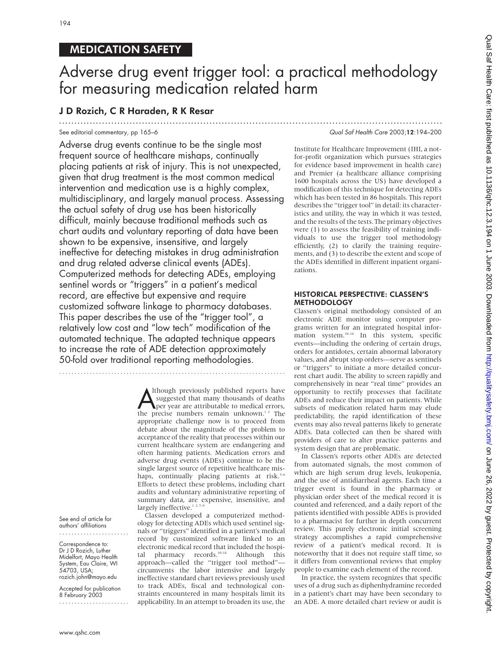# MEDICATION SAFETY

# Adverse drug event trigger tool: a practical methodology for measuring medication related harm

.............................................................................................................................

# J D Rozich, C R Haraden, R K Resar

# See editorial commentary, pp 165–6 Commentary, and See editorial commentary, pp 165–6 Commentary and See editorial commentary, pp 165–6

Adverse drug events continue to be the single most frequent source of healthcare mishaps, continually placing patients at risk of injury. This is not unexpected, given that drug treatment is the most common medical intervention and medication use is a highly complex, multidisciplinary, and largely manual process. Assessing the actual safety of drug use has been historically difficult, mainly because traditional methods such as chart audits and voluntary reporting of data have been shown to be expensive, insensitive, and largely ineffective for detecting mistakes in drug administration and drug related adverse clinical events (ADEs). Computerized methods for detecting ADEs, employing sentinel words or "triggers" in a patient's medical record, are effective but expensive and require customized software linkage to pharmacy databases. This paper describes the use of the "trigger tool", a relatively low cost and "low tech" modification of the automated technique. The adapted technique appears to increase the rate of ADE detection approximately 50-fold over traditional reporting methodologies.

..........................................................................

Although previously published reports have<br>suggested that many thousands of deaths<br>per year are attributable to medical errors,<br>the precise numbers remain unknown.<sup>12</sup> The lthough previously published reports have suggested that many thousands of deaths per year are attributable to medical errors, appropriate challenge now is to proceed from debate about the magnitude of the problem to acceptance of the reality that processes within our current healthcare system are endangering and often harming patients. Medication errors and adverse drug events (ADEs) continue to be the single largest source of repetitive healthcare mishaps, continually placing patients at risk.<sup>3-6</sup> Efforts to detect these problems, including chart audits and voluntary administrative reporting of summary data, are expensive, insensitive, and largely ineffective.<sup>127</sup>

Classen developed a computerized methodology for detecting ADEs which used sentinel signals or "triggers" identified in a patient's medical record by customized software linked to an electronic medical record that included the hospital pharmacy records.<sup>10–14</sup> Although this approach—called the "trigger tool method" circumvents the labor intensive and largely ineffective standard chart reviews previously used to track ADEs, fiscal and technological constraints encountered in many hospitals limit its applicability. In an attempt to broaden its use, the

Institute for Healthcare Improvement (IHI, a notfor-profit organization which pursues strategies for evidence based improvement in health care) and Premier (a healthcare alliance comprising 1600 hospitals across the US) have developed a modification of this technique for detecting ADEs which has been tested in 86 hospitals. This report describes the "trigger tool" in detail: its characteristics and utility, the way in which it was tested, and the results of the tests. The primary objectives were (1) to assess the feasibility of training individuals to use the trigger tool methodology efficiently, (2) to clarify the training requirements, and (3) to describe the extent and scope of the ADEs identified in different inpatient organizations.

# HISTORICAL PERSPECTIVE: CLASSEN'S METHODOLOGY

Classen's original methodology consisted of an electronic ADE monitor using computer programs written for an integrated hospital information system.10–14 In this system, specific events—including the ordering of certain drugs, orders for antidotes, certain abnormal laboratory values, and abrupt stop orders—serve as sentinels or "triggers" to initiate a more detailed concurrent chart audit. The ability to screen rapidly and comprehensively in near "real time" provides an opportunity to rectify processes that facilitate ADEs and reduce their impact on patients. While subsets of medication related harm may elude predictability, the rapid identification of these events may also reveal patterns likely to generate ADEs. Data collected can then be shared with providers of care to alter practice patterns and system design that are problematic.

In Classen's reports other ADEs are detected from automated signals, the most common of which are high serum drug levels, leukopenia, and the use of antidiarrheal agents. Each time a trigger event is found in the pharmacy or physician order sheet of the medical record it is counted and referenced, and a daily report of the patients identified with possible ADEs is provided to a pharmacist for further in depth concurrent review. This purely electronic initial screening strategy accomplishes a rapid comprehensive review of a patient's medical record. It is noteworthy that it does not require staff time, so it differs from conventional reviews that employ people to examine each element of the record.

In practice, the system recognizes that specific uses of a drug such as diphenhydramine recorded in a patient's chart may have been secondary to an ADE. A more detailed chart review or audit is

See end of article for authors' affiliations .......................

Correspondence to: Dr J D Rozich, Luther Midelfort, Mayo Health System, Eau Claire, WI 54703, USA; rozich.john@mayo.edu

Accepted for publication 8 February 2003 .......................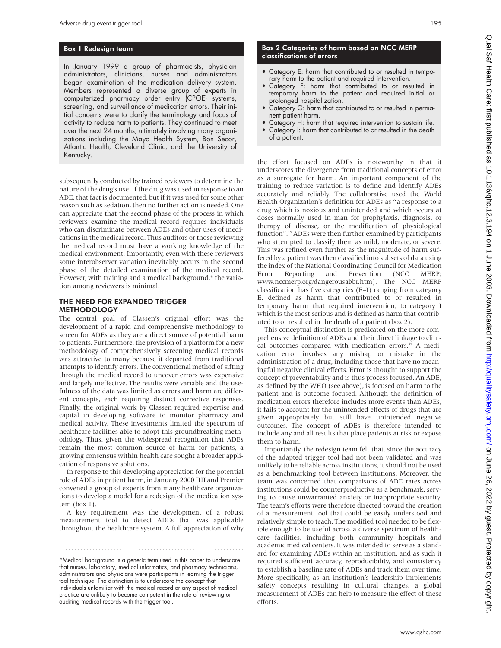# Box 1 Redesign team

In January 1999 a group of pharmacists, physician administrators, clinicians, nurses and administrators began examination of the medication delivery system. Members represented a diverse group of experts in computerized pharmacy order entry (CPOE) systems, screening, and surveillance of medication errors. Their initial concerns were to clarify the terminology and focus of activity to reduce harm to patients. They continued to meet over the next 24 months, ultimately involving many organizations including the Mayo Health System, Bon Secor, Atlantic Health, Cleveland Clinic, and the University of Kentucky.

subsequently conducted by trained reviewers to determine the nature of the drug's use. If the drug was used in response to an ADE, that fact is documented, but if it was used for some other reason such as sedation, then no further action is needed. One can appreciate that the second phase of the process in which reviewers examine the medical record requires individuals who can discriminate between ADEs and other uses of medications in the medical record. Thus auditors or those reviewing the medical record must have a working knowledge of the medical environment. Importantly, even with these reviewers some interobserver variation inevitably occurs in the second phase of the detailed examination of the medical record. However, with training and a medical background,\* the variation among reviewers is minimal.

### THE NEED FOR EXPANDED TRIGGER METHODOLOGY

The central goal of Classen's original effort was the development of a rapid and comprehensive methodology to screen for ADEs as they are a direct source of potential harm to patients. Furthermore, the provision of a platform for a new methodology of comprehensively screening medical records was attractive to many because it departed from traditional attempts to identify errors. The conventional method of sifting through the medical record to uncover errors was expensive and largely ineffective. The results were variable and the usefulness of the data was limited as errors and harm are different concepts, each requiring distinct corrective responses. Finally, the original work by Classen required expertise and capital in developing software to monitor pharmacy and medical activity. These investments limited the spectrum of healthcare facilities able to adopt this groundbreaking methodology. Thus, given the widespread recognition that ADEs remain the most common source of harm for patients, a growing consensus within health care sought a broader application of responsive solutions.

In response to this developing appreciation for the potential role of ADEs in patient harm, in January 2000 IHI and Premier convened a group of experts from many healthcare organizations to develop a model for a redesign of the medication system (box 1).

A key requirement was the development of a robust measurement tool to detect ADEs that was applicable throughout the healthcare system. A full appreciation of why

.............................................................

\*Medical background is a generic term used in this paper to underscore that nurses, laboratory, medical informatics, and pharmacy technicians, administrators and physicians were participants in learning the trigger tool technique. The distinction is to underscore the concept that individuals unfamiliar with the medical record or any aspect of medical practice are unlikely to become competent in the role of reviewing or auditing medical records with the trigger tool.

# Box 2 Categories of harm based on NCC MERP classifications of errors

- Category E: harm that contributed to or resulted in temporary harm to the patient and required intervention.
- Category F: harm that contributed to or resulted in temporary harm to the patient and required initial or prolonged hospitalization.
- Category G: harm that contributed to or resulted in permanent patient harm.
- Category H: harm that required intervention to sustain life.
- Category I: harm that contributed to or resulted in the death of a patient.

the effort focused on ADEs is noteworthy in that it underscores the divergence from traditional concepts of error as a surrogate for harm. An important component of the training to reduce variation is to define and identify ADEs accurately and reliably. The collaborative used the World Health Organization's definition for ADEs as "a response to a drug which is noxious and unintended and which occurs at doses normally used in man for prophylaxis, diagnosis, or therapy of disease, or the modification of physiological function".<sup>15</sup> ADEs were then further examined by participants who attempted to classify them as mild, moderate, or severe. This was refined even further as the magnitude of harm suffered by a patient was then classified into subsets of data using the index of the National Coordinating Council for Medication Error Reporting and Prevention (NCC MERP; www.nccmerp.org/dangerousabbr.htm). The NCC MERP classification has five categories (E–I) ranging from category E, defined as harm that contributed to or resulted in temporary harm that required intervention, to category I which is the most serious and is defined as harm that contributed to or resulted in the death of a patient (box 2).

This conceptual distinction is predicated on the more comprehensive definition of ADEs and their direct linkage to clinical outcomes compared with medication errors.<sup>16</sup> A medication error involves any mishap or mistake in the administration of a drug, including those that have no meaningful negative clinical effects. Error is thought to support the concept of preventability and is thus process focused. An ADE, as defined by the WHO (see above), is focused on harm to the patient and is outcome focused. Although the definition of medication errors therefore includes more events than ADEs, it fails to account for the unintended effects of drugs that are given appropriately but still have unintended negative outcomes. The concept of ADEs is therefore intended to include any and all results that place patients at risk or expose them to harm.

Importantly, the redesign team felt that, since the accuracy of the adapted trigger tool had not been validated and was unlikely to be reliable across institutions, it should not be used as a benchmarking tool between institutions. Moreover, the team was concerned that comparisons of ADE rates across institutions could be counterproductive as a benchmark, serving to cause unwarranted anxiety or inappropriate security. The team's efforts were therefore directed toward the creation of a measurement tool that could be easily understood and relatively simple to teach. The modified tool needed to be flexible enough to be useful across a diverse spectrum of healthcare facilities, including both community hospitals and academic medical centers. It was intended to serve as a standard for examining ADEs within an institution, and as such it required sufficient accuracy, reproducibility, and consistency to establish a baseline rate of ADEs and track them over time. More specifically, as an institution's leadership implements safety concepts resulting in cultural changes, a global measurement of ADEs can help to measure the effect of these efforts.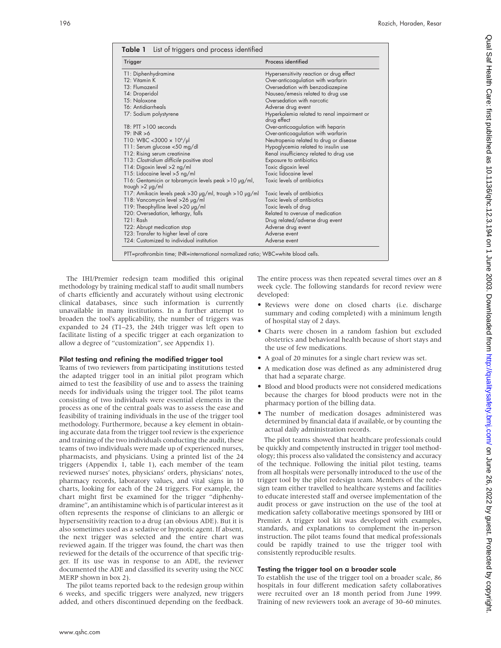| Trigger                                                                         | Process identified                                         |
|---------------------------------------------------------------------------------|------------------------------------------------------------|
| T1: Diphenhydramine                                                             | Hypersensitivity reaction or drug effect                   |
| T2: Vitamin K                                                                   | Over-anticoagulation with warfarin                         |
| T3: Flumazenil                                                                  | Oversedation with benzodiazepine                           |
| T4: Droperidol                                                                  | Nausea/emesis related to drug use                          |
| T5: Naloxone                                                                    | Oversedation with narcotic                                 |
| Tó: Antidiarrheals                                                              | Adverse drug event                                         |
| T7: Sodium polystyrene                                                          | Hyperkalemia related to renal impairment or<br>drug effect |
| $T8: PTT > 100$ seconds                                                         | Over-anticoagulation with heparin                          |
| T9: INR > 6                                                                     | Over-anticoagulation with warfarin                         |
| T10: WBC <3000 $\times$ 10 <sup>6</sup> /µ                                      | Neutropenia related to drug or disease                     |
| T11: Serum glucose <50 mg/dl                                                    | Hypoglycemia related to insulin use                        |
| T12: Rising serum creatinine                                                    | Renal insufficiency related to drug use                    |
| T13: Clostridium difficile positive stool                                       | Exposure to antibiotics                                    |
| T14: Digoxin level > 2 ng/ml                                                    | Toxic digoxin level                                        |
| T15: Lidocaine level >5 ng/ml                                                   | Toxic lidocaine level                                      |
| T16: Gentamicin or tobramycin levels peak > 10 µg/ml,<br>trough $>2$ $\mu$ g/ml | Toxic levels of antibiotics                                |
| T17: Amikacin levels peak > 30 µg/ml, trough > 10 µg/ml                         | Toxic levels of antibiotics                                |
| T18: Vancomycin level >26 µg/ml                                                 | Toxic levels of antibiotics                                |
| T19: Theophylline level $>$ 20 $\mu$ g/ml                                       | Toxic levels of drug                                       |
| T20: Oversedation, lethargy, falls                                              | Related to overuse of medication                           |
| T21: Rash                                                                       | Drug related/adverse drug event                            |
| T22: Abrupt medication stop                                                     | Adverse drug event                                         |
| T23: Transfer to higher level of care                                           | Adverse event                                              |
| T24: Customized to individual institution                                       | Adverse event                                              |

The IHI/Premier redesign team modified this original methodology by training medical staff to audit small numbers of charts efficiently and accurately without using electronic clinical databases, since such information is currently unavailable in many institutions. In a further attempt to broaden the tool's applicability, the number of triggers was expanded to 24 (T1–23, the 24th trigger was left open to facilitate listing of a specific trigger at each organization to allow a degree of "customization", see Appendix 1).

#### Pilot testing and refining the modified trigger tool

Teams of two reviewers from participating institutions tested the adapted trigger tool in an initial pilot program which aimed to test the feasibility of use and to assess the training needs for individuals using the trigger tool. The pilot teams consisting of two individuals were essential elements in the process as one of the central goals was to assess the ease and feasibility of training individuals in the use of the trigger tool methodology. Furthermore, because a key element in obtaining accurate data from the trigger tool review is the experience and training of the two individuals conducting the audit, these teams of two individuals were made up of experienced nurses, pharmacists, and physicians. Using a printed list of the 24 triggers (Appendix 1, table 1), each member of the team reviewed nurses' notes, physicians' orders, physicians' notes, pharmacy records, laboratory values, and vital signs in 10 charts, looking for each of the 24 triggers. For example, the chart might first be examined for the trigger "diphenhydramine", an antihistamine which is of particular interest as it often represents the response of clinicians to an allergic or hypersensitivity reaction to a drug (an obvious ADE). But it is also sometimes used as a sedative or hypnotic agent. If absent, the next trigger was selected and the entire chart was reviewed again. If the trigger was found, the chart was then reviewed for the details of the occurrence of that specific trigger. If its use was in response to an ADE, the reviewer documented the ADE and classified its severity using the NCC MERP shown in box 2).

The pilot teams reported back to the redesign group within 6 weeks, and specific triggers were analyzed, new triggers added, and others discontinued depending on the feedback.

The entire process was then repeated several times over an 8 week cycle. The following standards for record review were developed:

- Reviews were done on closed charts (i.e. discharge summary and coding completed) with a minimum length of hospital stay of 2 days.
- Charts were chosen in a random fashion but excluded obstetrics and behavioral health because of short stays and the use of few medications.
- A goal of 20 minutes for a single chart review was set.
- A medication dose was defined as any administered drug that had a separate charge.
- Blood and blood products were not considered medications because the charges for blood products were not in the pharmacy portion of the billing data.
- The number of medication dosages administered was determined by financial data if available, or by counting the actual daily administration records.

The pilot teams showed that healthcare professionals could be quickly and competently instructed in trigger tool methodology; this process also validated the consistency and accuracy of the technique. Following the initial pilot testing, teams from all hospitals were personally introduced to the use of the trigger tool by the pilot redesign team. Members of the redesign team either travelled to healthcare systems and facilities to educate interested staff and oversee implementation of the audit process or gave instruction on the use of the tool at medication safety collaborative meetings sponsored by IHI or Premier. A trigger tool kit was developed with examples, standards, and explanations to complement the in-person instruction. The pilot teams found that medical professionals could be rapidly trained to use the trigger tool with consistently reproducible results.

#### Testing the trigger tool on a broader scale

To establish the use of the trigger tool on a broader scale, 86 hospitals in four different medication safety collaboratives were recruited over an 18 month period from June 1999. Training of new reviewers took an average of 30–60 minutes.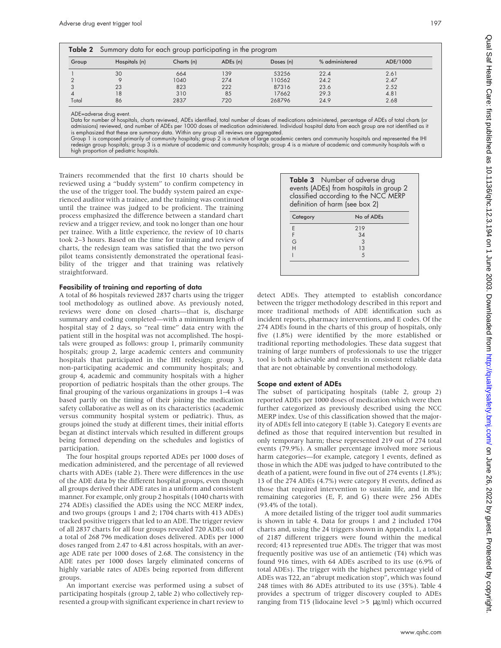|       | <b>Table 2</b> Summary data for each group participating in the program |            |                      |           |                |          |
|-------|-------------------------------------------------------------------------|------------|----------------------|-----------|----------------|----------|
| Group | Hospitals (n)                                                           | Charts (n) | ADE <sub>s</sub> (n) | Doses (n) | % administered | ADE/1000 |
|       | 30                                                                      | 664        | 139                  | 53256     | 22.4           | 2.61     |
|       |                                                                         | 1040       | 274                  | 110562    | 24.2           | 2.47     |
|       | 23                                                                      | 823        | 222                  | 87316     | 23.6           | 2.52     |
|       | 18                                                                      | 310        | 85                   | 17662     | 29.3           | 4.81     |
| Total | 86                                                                      | 2837       | 720                  | 268796    | 24.9           | 2.68     |

ADE=adverse drug event.

Data for number of hospitals, charts reviewed, ADEs identified, total number of doses of medications administered, percentage of ADEs of total charts (or admissions) reviewed, and number of ADEs per 1000 doses of medication administered. Individual hospital data from each group are not identified as it<br>is emphasized that these are summary data. Within any group all reviews

Group 1 is composed primarily of community hospitals; group 2 is a mixture of large academic centers and community hospitals and represented the IHI redesign group hospitals; group 3 is a mixture of academic and community hospitals; group 4 is a mixture of academic and community hospitals with a high proportion of pediatric hospitals.

Trainers recommended that the first 10 charts should be reviewed using a "buddy system" to confirm competency in the use of the trigger tool. The buddy system paired an experienced auditor with a trainee, and the training was continued until the trainee was judged to be proficient. The training process emphasized the difference between a standard chart review and a trigger review, and took no longer than one hour per trainee. With a little experience, the review of 10 charts took 2–3 hours. Based on the time for training and review of charts, the redesign team was satisfied that the two person pilot teams consistently demonstrated the operational feasibility of the trigger and that training was relatively straightforward.

#### Feasibility of training and reporting of data

A total of 86 hospitals reviewed 2837 charts using the trigger tool methodology as outlined above. As previously noted, reviews were done on closed charts—that is, discharge summary and coding completed—with a minimum length of hospital stay of 2 days, so "real time" data entry with the patient still in the hospital was not accomplished. The hospitals were grouped as follows: group 1, primarily community hospitals; group 2, large academic centers and community hospitals that participated in the IHI redesign; group 3, non-participating academic and community hospitals; and group 4, academic and community hospitals with a higher proportion of pediatric hospitals than the other groups. The final grouping of the various organizations in groups 1–4 was based partly on the timing of their joining the medication safety collaborative as well as on its characteristics (academic versus community hospital system or pediatric). Thus, as groups joined the study at different times, their initial efforts began at distinct intervals which resulted in different groups being formed depending on the schedules and logistics of participation.

The four hospital groups reported ADEs per 1000 doses of medication administered, and the percentage of all reviewed charts with ADEs (table 2). There were differences in the use of the ADE data by the different hospital groups, even though all groups derived their ADE rates in a uniform and consistent manner. For example, only group 2 hospitals (1040 charts with 274 ADEs) classified the ADEs using the NCC MERP index, and two groups (groups 1 and 2; 1704 charts with 413 ADEs) tracked positive triggers that led to an ADE. The trigger review of all 2837 charts for all four groups revealed 720 ADEs out of a total of 268 796 medication doses delivered. ADEs per 1000 doses ranged from 2.47 to 4.81 across hospitals, with an average ADE rate per 1000 doses of 2.68. The consistency in the ADE rates per 1000 doses largely eliminated concerns of highly variable rates of ADEs being reported from different groups.

An important exercise was performed using a subset of participating hospitals (group 2, table 2) who collectively represented a group with significant experience in chart review to

|          | <b>Table 3</b> Number of adverse drug<br>events (ADEs) from hospitals in group 2<br>classified according to the NCC MERP<br>definition of harm (see box 2) |
|----------|------------------------------------------------------------------------------------------------------------------------------------------------------------|
| Category | No of ADEs                                                                                                                                                 |
| F        | 219                                                                                                                                                        |
|          | 34                                                                                                                                                         |
|          |                                                                                                                                                            |

H 13  $\sqrt{5}$ 

detect ADEs. They attempted to establish concordance between the trigger methodology described in this report and more traditional methods of ADE identification such as incident reports, pharmacy interventions, and E codes. Of the 274 ADEs found in the charts of this group of hospitals, only five (1.8%) were identified by the more established or traditional reporting methodologies. These data suggest that training of large numbers of professionals to use the trigger tool is both achievable and results in consistent reliable data that are not obtainable by conventional methodology.

#### Scope and extent of ADEs

The subset of participating hospitals (table 2, group 2) reported ADEs per 1000 doses of medication which were then further categorized as previously described using the NCC MERP index. Use of this classification showed that the majority of ADEs fell into category E (table 3). Category E events are defined as those that required intervention but resulted in only temporary harm; these represented 219 out of 274 total events (79.9%). A smaller percentage involved more serious harm categories—for example, category I events, defined as those in which the ADE was judged to have contributed to the death of a patient, were found in five out of 274 events (1.8%); 13 of the 274 ADEs (4.7%) were category H events, defined as those that required intervention to sustain life, and in the remaining categories (E, F, and G) there were 256 ADEs (93.4% of the total).

A more detailed listing of the trigger tool audit summaries is shown in table 4. Data for groups 1 and 2 included 1704 charts and, using the 24 triggers shown in Appendix 1, a total of 2187 different triggers were found within the medical record; 413 represented true ADEs. The trigger that was most frequently positive was use of an antiemetic (T4) which was found 916 times, with 64 ADEs ascribed to its use (6.9% of total ADEs). The trigger with the highest percentage yield of ADEs was T22, an "abrupt medication stop", which was found 248 times with 86 ADEs attributed to its use (35%). Table 4 provides a spectrum of trigger discovery coupled to ADEs ranging from T15 (lidocaine level  $>5 \mu g/ml$ ) which occurred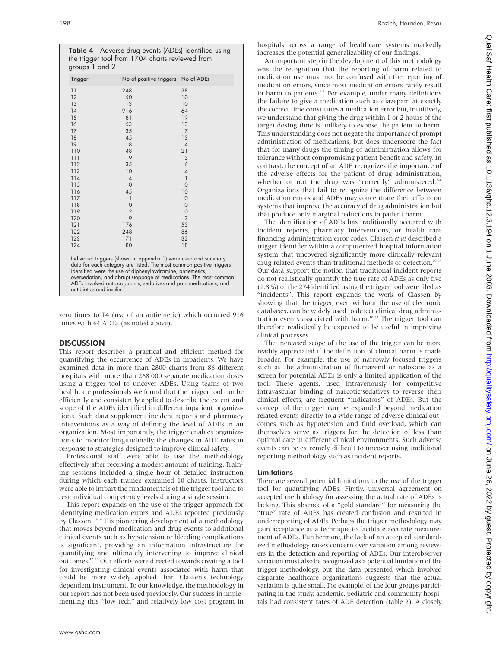|                | Table 4 Adverse drug events (ADEs) identified using |
|----------------|-----------------------------------------------------|
|                | the trigger tool from 1704 charts reviewed from     |
| groups 1 and 2 |                                                     |

| Trigger         | No of positive triggers                                                                                                                                                                                                                                                                                                                         | No of ADEs     |
|-----------------|-------------------------------------------------------------------------------------------------------------------------------------------------------------------------------------------------------------------------------------------------------------------------------------------------------------------------------------------------|----------------|
| T1              | 248                                                                                                                                                                                                                                                                                                                                             | 38             |
| T <sub>2</sub>  | 50                                                                                                                                                                                                                                                                                                                                              | 10             |
| T <sub>3</sub>  | 13                                                                                                                                                                                                                                                                                                                                              | 10             |
| <b>T4</b>       | 916                                                                                                                                                                                                                                                                                                                                             | 64             |
| T <sub>5</sub>  | 81                                                                                                                                                                                                                                                                                                                                              | 19             |
| T6              | 53                                                                                                                                                                                                                                                                                                                                              | 13             |
| T <sub>7</sub>  | 35                                                                                                                                                                                                                                                                                                                                              | $\overline{7}$ |
| T <sub>8</sub>  | 45                                                                                                                                                                                                                                                                                                                                              | 13             |
| T <sub>9</sub>  | 8                                                                                                                                                                                                                                                                                                                                               | $\overline{4}$ |
| <b>T10</b>      | 48                                                                                                                                                                                                                                                                                                                                              | 21             |
| T11             | 9                                                                                                                                                                                                                                                                                                                                               | 3              |
| T12             | 35                                                                                                                                                                                                                                                                                                                                              | 6              |
| <b>T13</b>      | 10                                                                                                                                                                                                                                                                                                                                              | 4              |
| T14             | $\overline{4}$                                                                                                                                                                                                                                                                                                                                  | 1              |
| T15             | $\mathbf 0$                                                                                                                                                                                                                                                                                                                                     | $\mathbf 0$    |
| T16             | 45                                                                                                                                                                                                                                                                                                                                              | 10             |
| T17             | 1                                                                                                                                                                                                                                                                                                                                               | $\mathbf 0$    |
| T18             | 0                                                                                                                                                                                                                                                                                                                                               | $\mathbf 0$    |
| T19             | $\overline{2}$                                                                                                                                                                                                                                                                                                                                  | $\mathbf 0$    |
| T <sub>20</sub> | 9                                                                                                                                                                                                                                                                                                                                               | 3              |
| T21             | 176                                                                                                                                                                                                                                                                                                                                             | 53             |
| T <sub>22</sub> | 248                                                                                                                                                                                                                                                                                                                                             | 86             |
| T <sub>23</sub> | 71                                                                                                                                                                                                                                                                                                                                              | 32             |
| T <sub>24</sub> | 80                                                                                                                                                                                                                                                                                                                                              | 18             |
|                 | Individual triggers (shown in appendix 1) were used and summary<br>data for each category are listed. The most common positive triggers<br>identified were the use of diphenylhydramine, antiemetics,<br>oversedation, and abrupt stoppage of medications. The most common<br>ADEs involved anticoagulants, sedatives and pain medications, and |                |

zero times to T4 (use of an antiemetic) which occurred 916 times with 64 ADEs (as noted above).

#### **DISCUSSION**

antibiotics and insulin.

This report describes a practical and efficient method for quantifying the occurrence of ADEs in inpatients. We have examined data in more than 2800 charts from 86 different hospitals with more than 268 000 separate medication doses using a trigger tool to uncover ADEs. Using teams of two healthcare professionals we found that the trigger tool can be efficiently and consistently applied to describe the extent and scope of the ADEs identified in different inpatient organizations. Such data supplement incident reports and pharmacy interventions as a way of defining the level of ADEs in an organization. Most importantly, the trigger enables organizations to monitor longitudinally the changes in ADE rates in response to strategies designed to improve clinical safety.

Professional staff were able to use the methodology effectively after receiving a modest amount of training. Training sessions included a single hour of detailed instruction during which each trainee examined 10 charts. Instructors were able to impart the fundamentals of the trigger tool and to test individual competency levels during a single session.

This report expands on the use of the trigger approach for identifying medication errors and ADEs reported previously by Classen.<sup>10–14</sup> His pioneering development of a methodology that moves beyond medication and drug events to additional clinical events such as hypotension or bleeding complications is significant, providing an information infrastructure for quantifying and ultimately intervening to improve clinical outcomes.12 13 Our efforts were directed towards creating a tool for investigating clinical events associated with harm that could be more widely applied than Classen's technology dependent instrument. To our knowledge, the methodology in our report has not been used previously. Our success in implementing this "low tech" and relatively low cost program in

hospitals across a range of healthcare systems markedly increases the potential generalizability of our findings.

An important step in the development of this methodology was the recognition that the reporting of harm related to medication use must not be confused with the reporting of medication errors, since most medication errors rarely result in harm to patients. $1-3$  For example, under many definitions the failure to give a medication such as diazepam at exactly the correct time constitutes a medication error but, intuitively, we understand that giving the drug within 1 or 2 hours of the target dosing time is unlikely to expose the patient to harm. This understanding does not negate the importance of prompt administration of medications, but does underscore the fact that for many drugs the timing of administration allows for tolerance without compromising patient benefit and safety. In contrast, the concept of an ADE recognizes the importance of the adverse effects for the patient of drug administration, whether or not the drug was "correctly" administered.<sup>3-6</sup> Organizations that fail to recognize the difference between medication errors and ADEs may concentrate their efforts on systems that improve the accuracy of drug administration but that produce only marginal reductions in patient harm.

The identification of ADEs has traditionally occurred with incident reports, pharmacy interventions, or health care financing administration error codes. Classen *et al* described a trigger identifier within a computerized hospital information system that uncovered significantly more clinically relevant drug related events than traditional methods of detection.<sup>10-14</sup> Our data support the notion that traditional incident reports do not realistically quantify the true rate of ADEs as only five (1.8 %) of the 274 identified using the trigger tool were filed as "incidents". This report expands the work of Classen by showing that the trigger, even without the use of electronic databases, can be widely used to detect clinical drug administration events associated with harm.10 12 The trigger tool can therefore realistically be expected to be useful in improving clinical processes.

The increased scope of the use of the trigger can be more readily appreciated if the definition of clinical harm is made broader. For example, the use of narrowly focused triggers such as the administration of flumazenil or naloxone as a screen for potential ADEs is only a limited application of the tool. These agents, used intravenously for competitive intravascular binding of narcotic/sedatives to reverse their clinical effects, are frequent "indicators" of ADEs. But the concept of the trigger can be expanded beyond medication related events directly to a wide range of adverse clinical outcomes such as hypotension and fluid overload, which can themselves serve as triggers for the detection of less than optimal care in different clinical environments. Such adverse events can be extremely difficult to uncover using traditional reporting methodology such as incident reports.

#### Limitations

There are several potential limitations to the use of the trigger tool for quantifying ADEs. Firstly, universal agreement on accepted methodology for assessing the actual rate of ADEs is lacking. This absence of a "gold standard" for measuring the "true" rate of ADEs has created confusion and resulted in underreporting of ADEs. Perhaps the trigger methodology may gain acceptance as a technique to facilitate accurate measurement of ADEs. Furthermore, the lack of an accepted standardized methodology raises concern over variation among reviewers in the detection and reporting of ADEs. Our interobserver variation must also be recognized as a potential limitation of the trigger methodology, but the data presented which involved disparate healthcare organizations suggests that the actual variation is quite small. For example, of the four groups participating in the study, academic, pediatric and community hospitals had consistent rates of ADE detection (table 2). A closely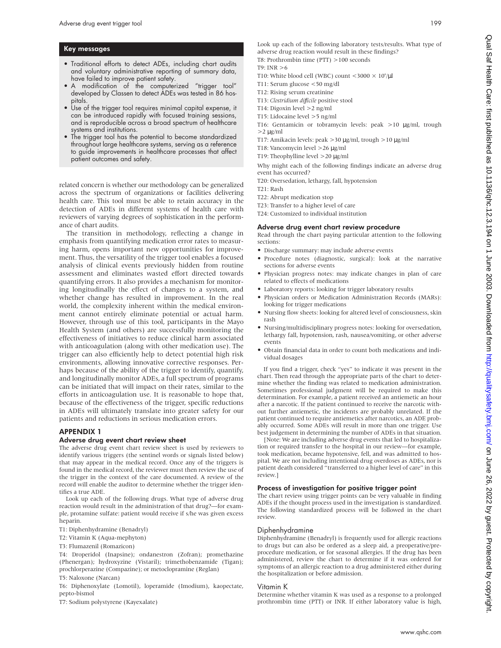#### Key messages

- Traditional efforts to detect ADEs, including chart audits and voluntary administrative reporting of summary data, have failed to improve patient safety.
- A modification of the computerized "trigger tool" developed by Classen to detect ADEs was tested in 86 hospitals.
- Use of the trigger tool requires minimal capital expense, it can be introduced rapidly with focused training sessions, and is reproducible across a broad spectrum of healthcare systems and institutions.
- The trigger tool has the potential to become standardized throughout large healthcare systems, serving as a reference to guide improvements in healthcare processes that affect patient outcomes and safety.

related concern is whether our methodology can be generalized across the spectrum of organizations or facilities delivering health care. This tool must be able to retain accuracy in the detection of ADEs in different systems of health care with reviewers of varying degrees of sophistication in the performance of chart audits.

The transition in methodology, reflecting a change in emphasis from quantifying medication error rates to measuring harm, opens important new opportunities for improvement. Thus, the versatility of the trigger tool enables a focused analysis of clinical events previously hidden from routine assessment and eliminates wasted effort directed towards quantifying errors. It also provides a mechanism for monitoring longitudinally the effect of changes to a system, and whether change has resulted in improvement. In the real world, the complexity inherent within the medical environment cannot entirely eliminate potential or actual harm. However, through use of this tool, participants in the Mayo Health System (and others) are successfully monitoring the effectiveness of initiatives to reduce clinical harm associated with anticoagulation (along with other medication use). The trigger can also efficiently help to detect potential high risk environments, allowing innovative corrective responses. Perhaps because of the ability of the trigger to identify, quantify, and longitudinally monitor ADEs, a full spectrum of programs can be initiated that will impact on their rates, similar to the efforts in anticoagulation use. It is reasonable to hope that, because of the effectiveness of the trigger, specific reductions in ADEs will ultimately translate into greater safety for our patients and reductions in serious medication errors.

#### APPENDIX 1

#### Adverse drug event chart review sheet

The adverse drug event chart review sheet is used by reviewers to identify various triggers (the sentinel words or signals listed below) that may appear in the medical record. Once any of the triggers is found in the medical record, the reviewer must then review the use of the trigger in the context of the care documented. A review of the record will enable the auditor to determine whether the trigger identifies a true ADE.

Look up each of the following drugs. What type of adverse drug reaction would result in the administration of that drug?—for example, protamine sulfate: patient would receive if s/he was given excess heparin.

- T1: Diphenhydramine (Benadryl)
- T2: Vitamin K (Aqua-mephyton)
- T3: Flumazenil (Romazicon)

T4: Droperidol (Inapsine); ondanestron (Zofran); promethazine (Phenergan); hydroxyzine (Vistaril); trimethobenzamide (Tigan); prochlorperazine (Compazine); or metoclopramine (Reglan)

T5: Naloxone (Narcan)

T6: Diphenoxylate (Lomotil), loperamide (Imodium), kaopectate, pepto-bismol

T7: Sodium polystyrene (Kayexalate)

Look up each of the following laboratory tests/results. What type of adverse drug reaction would result in these findings?

- T8: Prothrombin time (PTT) >100 seconds
- $T9.$  INR  $>6$
- T10: White blood cell (WBC) count  $<$ 3000  $\times$  10°/ $\mu$ l
- T11: Serum glucose <50 mg/dl
- T12: Rising serum creatinine
- T13: *Clostridium difficile* positive stool
- T14: Digoxin level >2 ng/ml
- T15: Lidocaine level >5 ng/ml
- T16: Gentamicin or tobramycin levels: peak >10 µg/ml, trough  $>2 \mu g/ml$
- T17: Amikacin levels: peak >30 µg/ml, trough >10 µg/ml
- T18: Vancomycin level >26 µg/ml
- T19: Theophylline level >20 µg/ml

Why might each of the following findings indicate an adverse drug event has occurred?

T20: Oversedation, lethargy, fall, hypotension

- T21: Rash
- T22: Abrupt medication stop
- T23: Transfer to a higher level of care
- T24: Customized to individual institution

#### Adverse drug event chart review procedure

Read through the chart paying particular attention to the following sections:

- Discharge summary: may include adverse events
- Procedure notes (diagnostic, surgical): look at the narrative sections for adverse events
- Physician progress notes: may indicate changes in plan of care related to effects of medications
- Laboratory reports: looking for trigger laboratory results
- Physician orders or Medication Administration Records (MARs): looking for trigger medications
- Nursing flow sheets: looking for altered level of consciousness, skin rash
- Nursing/multidisciplinary progress notes: looking for oversedation, lethargy fall, hypotension, rash, nausea/vomiting, or other adverse events
- Obtain financial data in order to count both medications and individual dosages

If you find a trigger, check "yes" to indicate it was present in the chart. Then read through the appropriate parts of the chart to determine whether the finding was related to medication administration. Sometimes professional judgment will be required to make this determination. For example, a patient received an antiemetic an hour after a narcotic. If the patient continued to receive the narcotic without further antiemetic, the incidents are probably unrelated. If the patient continued to require antiemetics after narcotics, an ADE probably occurred. Some ADEs will result in more than one trigger. Use best judgement in determining the number of ADEs in that situation.

[Note: We are including adverse drug events that led to hospitalization or required transfer to the hospital in our review—for example, took medication, became hypotensive, fell, and was admitted to hospital. We are not including intentional drug overdoses as ADEs, nor is patient death considered "transferred to a higher level of care" in this review.]

#### Process of investigation for positive trigger point

The chart review using trigger points can be very valuable in finding ADEs if the thought process used in the investigation is standardized. The following standardized process will be followed in the chart review.

#### Diphenhydramine

Diphenhydramine (Benadryl) is frequently used for allergic reactions to drugs but can also be ordered as a sleep aid, a preoperative/preprocedure medication, or for seasonal allergies. If the drug has been administered, review the chart to determine if it was ordered for symptoms of an allergic reaction to a drug administered either during the hospitalization or before admission.

#### Vitamin K

Determine whether vitamin K was used as a response to a prolonged prothrombin time (PTT) or INR. If either laboratory value is high,